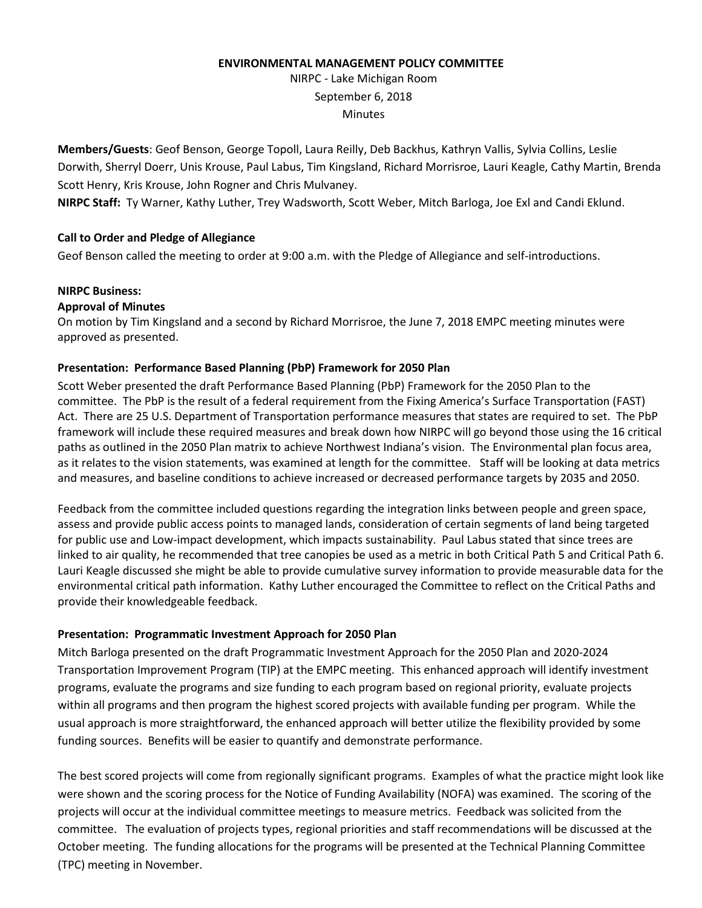#### **ENVIRONMENTAL MANAGEMENT POLICY COMMITTEE**

NIRPC - Lake Michigan Room September 6, 2018 **Minutes** 

**Members/Guests**: Geof Benson, George Topoll, Laura Reilly, Deb Backhus, Kathryn Vallis, Sylvia Collins, Leslie Dorwith, Sherryl Doerr, Unis Krouse, Paul Labus, Tim Kingsland, Richard Morrisroe, Lauri Keagle, Cathy Martin, Brenda Scott Henry, Kris Krouse, John Rogner and Chris Mulvaney.

**NIRPC Staff:** Ty Warner, Kathy Luther, Trey Wadsworth, Scott Weber, Mitch Barloga, Joe Exl and Candi Eklund.

# **Call to Order and Pledge of Allegiance**

Geof Benson called the meeting to order at 9:00 a.m. with the Pledge of Allegiance and self-introductions.

## **NIRPC Business:**

# **Approval of Minutes**

On motion by Tim Kingsland and a second by Richard Morrisroe, the June 7, 2018 EMPC meeting minutes were approved as presented.

# **Presentation: Performance Based Planning (PbP) Framework for 2050 Plan**

Scott Weber presented the draft Performance Based Planning (PbP) Framework for the 2050 Plan to the committee. The PbP is the result of a federal requirement from the Fixing America's Surface Transportation (FAST) Act. There are 25 U.S. Department of Transportation performance measures that states are required to set. The PbP framework will include these required measures and break down how NIRPC will go beyond those using the 16 critical paths as outlined in the 2050 Plan matrix to achieve Northwest Indiana's vision. The Environmental plan focus area, as it relates to the vision statements, was examined at length for the committee. Staff will be looking at data metrics and measures, and baseline conditions to achieve increased or decreased performance targets by 2035 and 2050.

Feedback from the committee included questions regarding the integration links between people and green space, assess and provide public access points to managed lands, consideration of certain segments of land being targeted for public use and Low-impact development, which impacts sustainability. Paul Labus stated that since trees are linked to air quality, he recommended that tree canopies be used as a metric in both Critical Path 5 and Critical Path 6. Lauri Keagle discussed she might be able to provide cumulative survey information to provide measurable data for the environmental critical path information. Kathy Luther encouraged the Committee to reflect on the Critical Paths and provide their knowledgeable feedback.

## **Presentation: Programmatic Investment Approach for 2050 Plan**

Mitch Barloga presented on the draft Programmatic Investment Approach for the 2050 Plan and 2020-2024 Transportation Improvement Program (TIP) at the EMPC meeting. This enhanced approach will identify investment programs, evaluate the programs and size funding to each program based on regional priority, evaluate projects within all programs and then program the highest scored projects with available funding per program. While the usual approach is more straightforward, the enhanced approach will better utilize the flexibility provided by some funding sources. Benefits will be easier to quantify and demonstrate performance.

The best scored projects will come from regionally significant programs. Examples of what the practice might look like were shown and the scoring process for the Notice of Funding Availability (NOFA) was examined. The scoring of the projects will occur at the individual committee meetings to measure metrics. Feedback was solicited from the committee. The evaluation of projects types, regional priorities and staff recommendations will be discussed at the October meeting. The funding allocations for the programs will be presented at the Technical Planning Committee (TPC) meeting in November.